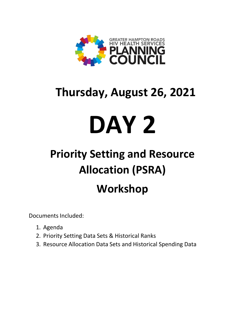

## **Thursday, August 26, 2021**

# **DAY 2**

# **Priority Setting and Resource Allocation (PSRA) Workshop**

Documents Included:

- 1. Agenda
- 2. Priority Setting Data Sets & Historical Ranks
- 3. Resource Allocation Data Sets and Historical Spending Data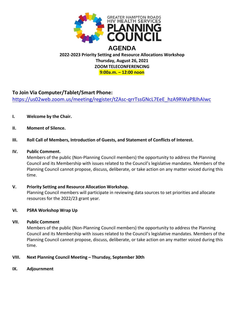

#### **2022-2023 Priority Setting and Resource Allocations Workshop Thursday, August 26, 2021 ZOOM TELECONFERENCING 9:00a.m. – 12:00 noon**

#### **To Join Via Computer/Tablet/Smart Phone:**

[https://us02web.zoom.us/meeting/register/tZAsc-qrrTssGNcL7EeE\\_hzA9RWaP8JhAIwc](https://us02web.zoom.us/meeting/register/tZAsc-qrrTssGNcL7EeE_hzA9RWaP8JhAIwc)

- **I. Welcome by the Chair.**
- **II. Moment of Silence.**

#### **III. Roll Call of Members, Introduction of Guests, and Statement of Conflicts of Interest.**

#### **IV. Public Comment.**

Members of the public (Non-Planning Council members) the opportunity to address the Planning Council and its Membership with issues related to the Council's legislative mandates. Members of the Planning Council cannot propose, discuss, deliberate, or take action on any matter voiced during this time.

#### **V. Priority Setting and Resource Allocation Workshop.**

Planning Council members will participate in reviewing data sources to set priorities and allocate resources for the 2022/23 grant year.

#### **VI. PSRA Workshop Wrap Up**

#### **VII. Public Comment**

Members of the public (Non-Planning Council members) the opportunity to address the Planning Council and its Membership with issues related to the Council's legislative mandates. Members of the Planning Council cannot propose, discuss, deliberate, or take action on any matter voiced during this time.

#### **VIII. Next Planning Council Meeting – Thursday, September 30th**

**IX. Adjournment**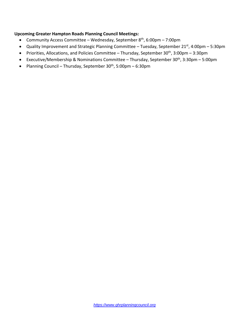#### **Upcoming Greater Hampton Roads Planning Council Meetings:**

- Community Access Committee Wednesday, September 8<sup>th</sup>, 6:00pm 7:00pm
- Quality Improvement and Strategic Planning Committee Tuesday, September 21<sup>st</sup>, 4:00pm 5:30pm
- Priorities, Allocations, and Policies Committee Thursday, September  $30<sup>th</sup>$ ,  $3:00<sub>pm</sub>$   $3:30<sub>pm</sub>$
- Executive/Membership & Nominations Committee Thursday, September 30<sup>th</sup>, 3:30pm 5:00pm
- Planning Council Thursday, September  $30<sup>th</sup>$ , 5:00pm 6:30pm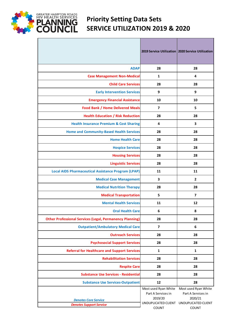

## **Priority Setting Data Sets SERVICE UTILIZATION 2019 & 2020**

|                                                                 |                                                                                              | 2019 Service Utilization   2020 Service Utilization                                          |
|-----------------------------------------------------------------|----------------------------------------------------------------------------------------------|----------------------------------------------------------------------------------------------|
| <b>ADAP</b>                                                     | 28                                                                                           | 28                                                                                           |
| <b>Case Management Non-Medical</b>                              | 1                                                                                            | 4                                                                                            |
| <b>Child Care Services</b>                                      | 28                                                                                           | 28                                                                                           |
| <b>Early Intervention Services</b>                              | 9                                                                                            | 9                                                                                            |
| <b>Emergency Financial Assistance</b>                           | 10                                                                                           | 10                                                                                           |
| <b>Food Bank / Home Delivered Meals</b>                         | 7                                                                                            | 5                                                                                            |
| <b>Health Education / Risk Reduction</b>                        | 28                                                                                           | 28                                                                                           |
| <b>Health Insurance Premium &amp; Cost Sharing</b>              | 4                                                                                            | 3                                                                                            |
| <b>Home and Community-Based Health Services</b>                 | 28                                                                                           | 28                                                                                           |
| <b>Home Health Care</b>                                         | 28                                                                                           | 28                                                                                           |
| <b>Hospice Services</b>                                         | 28                                                                                           | 28                                                                                           |
| <b>Housing Services</b>                                         | 28                                                                                           | 28                                                                                           |
| <b>Linguistic Services</b>                                      | 28                                                                                           | 28                                                                                           |
| <b>Local AIDS Pharmaceutical Assistance Program (LPAP)</b>      | 11                                                                                           | 11                                                                                           |
| <b>Medical Case Management</b>                                  | 3                                                                                            | $\overline{2}$                                                                               |
| <b>Medical Nutrition Therapy</b>                                | 28                                                                                           | 28                                                                                           |
| <b>Medical Transportation</b>                                   | 5                                                                                            | 7                                                                                            |
| <b>Mental Health Services</b>                                   | 11                                                                                           | 12                                                                                           |
| <b>Oral Health Care</b>                                         | 6                                                                                            | 8                                                                                            |
| <b>Other Professional Services (Legal, Permanency Planning)</b> | 28                                                                                           | 28                                                                                           |
| <b>Outpatient/Ambulatory Medical Care</b>                       | 7                                                                                            | 6                                                                                            |
| <b>Outreach Services</b>                                        | 28                                                                                           | 28                                                                                           |
| <b>Psychosocial Support Services</b>                            | 28                                                                                           | 28                                                                                           |
| <b>Referral for Healthcare and Support Services</b>             | $\mathbf{1}$                                                                                 | 1                                                                                            |
| <b>Rehabilitation Services</b>                                  | 28                                                                                           | 28                                                                                           |
| <b>Respite Care</b>                                             | 28                                                                                           | 28                                                                                           |
| <b>Substance Use Services - Residential</b>                     | 28                                                                                           | 28                                                                                           |
| <b>Substance Use Services-Outpatient</b>                        | 12                                                                                           | 28                                                                                           |
| <b>Denotes Core Service</b><br><b>Denotes Support Service</b>   | Most used Ryan White<br>Part A Services in<br>2019/20<br>UNDUPLICATED CLIENT<br><b>COUNT</b> | Most used Ryan White<br>Part A Services in<br>2020/21<br>UNDUPLICATED CLIENT<br><b>COUNT</b> |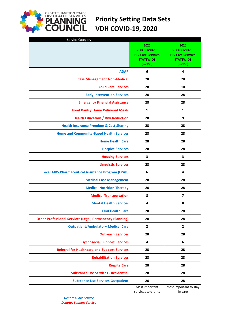## **Priority Setting Data Sets VDH COVID-19, 2020**

**GREATER HAMPTON ROADS**<br>**PLANNING**<br>**COUNCIL** 

| Service Category                                                | 2020<br><b>VDH COVID-19</b>                               | 2020<br><b>VDH COVID-19</b>                               |
|-----------------------------------------------------------------|-----------------------------------------------------------|-----------------------------------------------------------|
|                                                                 | <b>HIV Care Servcies</b><br><b>STATEWIDE</b><br>$(n=150)$ | <b>HIV Care Servcies</b><br><b>STATEWIDE</b><br>$(n=150)$ |
| <b>ADAP</b>                                                     | 6                                                         | 4                                                         |
| <b>Case Management Non-Medical</b>                              | 28                                                        | 28                                                        |
| <b>Child Care Services</b>                                      | 28                                                        | 10                                                        |
| <b>Early Intervention Services</b>                              | 28                                                        | 28                                                        |
| <b>Emergency Financial Assistance</b>                           | 28                                                        | 28                                                        |
| <b>Food Bank / Home Delivered Meals</b>                         | 1                                                         | 1                                                         |
| <b>Health Education / Risk Reduction</b>                        | 28                                                        | 9                                                         |
| <b>Health Insurance Premium &amp; Cost Sharing</b>              | 28                                                        | 28                                                        |
| <b>Home and Community-Based Health Services</b>                 | 28                                                        | 28                                                        |
| <b>Home Health Care</b>                                         | 28                                                        | 28                                                        |
| <b>Hospice Services</b>                                         | 28                                                        | 28                                                        |
| <b>Housing Services</b>                                         | 3                                                         | 3                                                         |
| <b>Linguistic Services</b>                                      | 28                                                        | 28                                                        |
| <b>Local AIDS Pharmaceutical Assistance Program (LPAP)</b>      | 6                                                         | 4                                                         |
| <b>Medical Case Management</b>                                  | 28                                                        | 28                                                        |
| <b>Medical Nutrition Therapy</b>                                | 28                                                        | 28                                                        |
| <b>Medical Transportation</b>                                   | 8                                                         | 7                                                         |
| <b>Mental Health Services</b>                                   | 4                                                         | 8                                                         |
| <b>Oral Health Care</b>                                         | 28                                                        | 28                                                        |
| <b>Other Professional Services (Legal, Permanency Planning)</b> | 28                                                        | 28                                                        |
| <b>Outpatient/Ambulatory Medical Care</b>                       | $\mathbf{2}$                                              | $\mathbf{2}$                                              |
| <b>Outreach Services</b>                                        | 28                                                        | 28                                                        |
| <b>Psychosocial Support Services</b>                            | 4                                                         | 6                                                         |
| <b>Referral for Healthcare and Support Services</b>             | 28                                                        | 28                                                        |
| <b>Rehabilitation Services</b>                                  | 28                                                        | 28                                                        |
| <b>Respite Care</b>                                             | 28                                                        | 28                                                        |
| <b>Substance Use Services - Residential</b>                     | 28                                                        | 28                                                        |
| <b>Substance Use Services-Outpatient</b>                        | 28                                                        | 28                                                        |
|                                                                 | Most important<br>services to clients                     | Most important to stay<br>in care                         |
| <b>Denotes Core Service</b>                                     |                                                           |                                                           |
| <b>Denotes Support Service</b>                                  |                                                           |                                                           |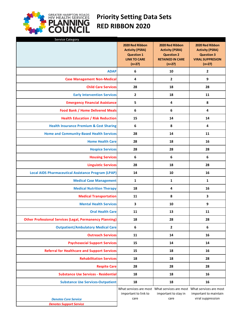

## **Priority Setting Data Sets RED RIBBON 2020**

| Service Category                                                |                                                                                                   |                                                                                                       |                                                                                                       |
|-----------------------------------------------------------------|---------------------------------------------------------------------------------------------------|-------------------------------------------------------------------------------------------------------|-------------------------------------------------------------------------------------------------------|
|                                                                 | 2020 Red Ribbon<br><b>Activity (PSRA)</b><br><b>Question 1</b><br><b>LINK TO CARE</b><br>$(n=27)$ | 2020 Red Ribbon<br><b>Activity (PSRA)</b><br><b>Question 2</b><br><b>RETAINED IN CARE</b><br>$(n=27)$ | 2020 Red Ribbon<br><b>Activity (PSRA)</b><br><b>Question 3</b><br><b>VIRAL SUPPRESION</b><br>$(n=27)$ |
| <b>ADAP</b>                                                     | 6                                                                                                 | 10                                                                                                    | 2                                                                                                     |
| <b>Case Management Non-Medical</b>                              | 4                                                                                                 | $\overline{2}$                                                                                        | 9                                                                                                     |
| <b>Child Care Services</b>                                      | 28                                                                                                | 18                                                                                                    | 28                                                                                                    |
| <b>Early Intervention Services</b>                              | $\overline{2}$                                                                                    | 18                                                                                                    | 11                                                                                                    |
| <b>Emergency Financial Assistance</b>                           | 5                                                                                                 | 4                                                                                                     | 8                                                                                                     |
| <b>Food Bank / Home Delivered Meals</b>                         | 6                                                                                                 | 6                                                                                                     | 4                                                                                                     |
| <b>Health Education / Risk Reduction</b>                        | 15                                                                                                | 14                                                                                                    | 14                                                                                                    |
| <b>Health Insurance Premium &amp; Cost Sharing</b>              | 6                                                                                                 | 8                                                                                                     | 4                                                                                                     |
| <b>Home and Community-Based Health Services</b>                 | 28                                                                                                | 14                                                                                                    | 11                                                                                                    |
| <b>Home Health Care</b>                                         | 28                                                                                                | 18                                                                                                    | 16                                                                                                    |
| <b>Hospice Services</b>                                         | 28                                                                                                | 28                                                                                                    | 28                                                                                                    |
| <b>Housing Services</b>                                         | 6                                                                                                 | 6                                                                                                     | 6                                                                                                     |
| <b>Linguistic Services</b>                                      | 28                                                                                                | 18                                                                                                    | 28                                                                                                    |
| <b>Local AIDS Pharmaceutical Assistance Program (LPAP)</b>      | 14                                                                                                | 10                                                                                                    | 16                                                                                                    |
| <b>Medical Case Management</b>                                  | $\mathbf{1}$                                                                                      | $\mathbf{1}$                                                                                          | 1                                                                                                     |
| <b>Medical Nutrition Therapy</b>                                | 18                                                                                                | 4                                                                                                     | 16                                                                                                    |
| <b>Medical Transportation</b>                                   | 11                                                                                                | 8                                                                                                     | 3                                                                                                     |
| <b>Mental Health Services</b>                                   | 3                                                                                                 | 10                                                                                                    | 9                                                                                                     |
| <b>Oral Health Care</b>                                         | 11                                                                                                | 13                                                                                                    | 11                                                                                                    |
| <b>Other Professional Services (Legal, Permanency Planning)</b> | 18                                                                                                | 28                                                                                                    | 28                                                                                                    |
| <b>Outpatient/Ambulatory Medical Care</b>                       | 6                                                                                                 | $\overline{2}$                                                                                        | 6                                                                                                     |
| <b>Outreach Services</b>                                        | 11                                                                                                | 14                                                                                                    | 16                                                                                                    |
| <b>Psychosocial Support Services</b>                            | 15                                                                                                | 14                                                                                                    | 14                                                                                                    |
| <b>Referral for Healthcare and Support Services</b>             | 15                                                                                                | 18                                                                                                    | 16                                                                                                    |
| <b>Rehabilitation Services</b>                                  | 18                                                                                                | 18                                                                                                    | 28                                                                                                    |
| <b>Respite Care</b>                                             | 28                                                                                                | 28                                                                                                    | 28                                                                                                    |
| <b>Substance Use Services - Residential</b>                     | 18                                                                                                | 18                                                                                                    | 16                                                                                                    |
| <b>Substance Use Services-Outpatient</b>                        | 18                                                                                                | 18                                                                                                    | 16                                                                                                    |
| <b>Denotes Core Service</b>                                     | important to link to<br>care                                                                      | What services are most What services are most What services are most<br>important to stay in<br>care  | important to maintain<br>viral suppression                                                            |

*Denotes Support Service*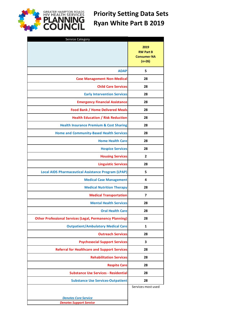

## **Priority Setting Data Sets Ryan White Part B 2019**

| <b>Service Category</b>                                         |                                                            |
|-----------------------------------------------------------------|------------------------------------------------------------|
|                                                                 | 2019<br><b>RW Part B</b><br><b>Consumer NA</b><br>$(n=26)$ |
| <b>ADAP</b>                                                     | 5                                                          |
| <b>Case Management Non-Medical</b>                              | 28                                                         |
| <b>Child Care Services</b>                                      | 28                                                         |
| <b>Early Intervention Services</b>                              | 28                                                         |
| <b>Emergency Financial Assistance</b>                           | 28                                                         |
| <b>Food Bank / Home Delivered Meals</b>                         | 28                                                         |
| <b>Health Education / Risk Reduction</b>                        | 28                                                         |
| <b>Health Insurance Premium &amp; Cost Sharing</b>              | 28                                                         |
| <b>Home and Community-Based Health Services</b>                 | 28                                                         |
| <b>Home Health Care</b>                                         | 28                                                         |
| <b>Hospice Services</b>                                         | 28                                                         |
| <b>Housing Services</b>                                         | $\overline{2}$                                             |
| <b>Linguistic Services</b>                                      | 28                                                         |
| <b>Local AIDS Pharmaceutical Assistance Program (LPAP)</b>      | 5                                                          |
| <b>Medical Case Management</b>                                  | 4                                                          |
| <b>Medical Nutrition Therapy</b>                                | 28                                                         |
| <b>Medical Transportation</b>                                   | 7                                                          |
| <b>Mental Health Services</b>                                   | 28                                                         |
| <b>Oral Health Care</b>                                         | 28                                                         |
| <b>Other Professional Services (Legal, Permanency Planning)</b> | 28                                                         |
| <b>Outpatient/Ambulatory Medical Care</b>                       | 1                                                          |
| <b>Outreach Services</b>                                        | 28                                                         |
| <b>Psychosocial Support Services</b>                            | 3                                                          |
| <b>Referral for Healthcare and Support Services</b>             | 28                                                         |
| <b>Rehabilitation Services</b>                                  | 28                                                         |
| <b>Respite Care</b>                                             | 28                                                         |
| <b>Substance Use Services - Residential</b>                     | 28                                                         |
| <b>Substance Use Services-Outpatient</b>                        | 28                                                         |
|                                                                 | Services most used                                         |
|                                                                 |                                                            |
| <b>Denotes Core Service</b><br><b>Denotes Support Service</b>   |                                                            |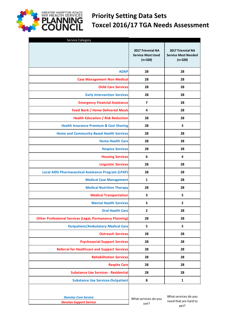

| Service Category                                                |                                                            |                                                              |
|-----------------------------------------------------------------|------------------------------------------------------------|--------------------------------------------------------------|
|                                                                 | 2017 Triennial NA<br><b>Service Most Used</b><br>$(n=320)$ | 2017 Triennial NA<br><b>Service Most Needed</b><br>$(n=320)$ |
| <b>ADAP</b>                                                     | 28                                                         | 28                                                           |
| <b>Case Management Non-Medical</b>                              | 28                                                         | 28                                                           |
| <b>Child Care Services</b>                                      | 28                                                         | 28                                                           |
| <b>Early Intervention Services</b>                              | 28                                                         | 28                                                           |
| <b>Emergency Financial Assistance</b>                           | $\overline{\mathbf{z}}$                                    | 28                                                           |
| <b>Food Bank / Home Delivered Meals</b>                         | 4                                                          | 28                                                           |
| <b>Health Education / Risk Reduction</b>                        | 28                                                         | 28                                                           |
| <b>Health Insurance Premium &amp; Cost Sharing</b>              | 28                                                         | 3                                                            |
| <b>Home and Community-Based Health Services</b>                 | 28                                                         | 28                                                           |
| <b>Home Health Care</b>                                         | 28                                                         | 28                                                           |
| <b>Hospice Services</b>                                         | 28                                                         | 28                                                           |
| <b>Housing Services</b>                                         | 6                                                          | 4                                                            |
| <b>Linguistic Services</b>                                      | 28                                                         | 28                                                           |
| <b>Local AIDS Pharmaceutical Assistance Program (LPAP)</b>      | 28                                                         | 28                                                           |
| <b>Medical Case Management</b>                                  | 1                                                          | 28                                                           |
| <b>Medical Nutrition Therapy</b>                                | 28                                                         | 28                                                           |
| <b>Medical Transportation</b>                                   | 3                                                          | 5                                                            |
| <b>Mental Health Services</b>                                   | 5                                                          | $\overline{2}$                                               |
| <b>Oral Health Care</b>                                         | $\overline{2}$                                             | 28                                                           |
| <b>Other Professional Services (Legal, Permanency Planning)</b> | 28                                                         | 28                                                           |
| <b>Outpatient/Ambulatory Medical Care</b>                       | 5                                                          | 5                                                            |
| <b>Outreach Services</b>                                        | 28                                                         | 28                                                           |
| <b>Psychosocial Support Services</b>                            | 28                                                         | 28                                                           |
| <b>Referral for Healthcare and Support Services</b>             | 28                                                         | 28                                                           |
| <b>Rehabilitation Services</b>                                  | 28                                                         | 28                                                           |
| <b>Respite Care</b>                                             | 28                                                         | 28                                                           |
| <b>Substance Use Services - Residential</b>                     | 28                                                         | 28                                                           |
| <b>Substance Use Services-Outpatient</b>                        | 8                                                          | $\mathbf{1}$                                                 |
|                                                                 |                                                            |                                                              |

**SREATER HAMPTON ROADS**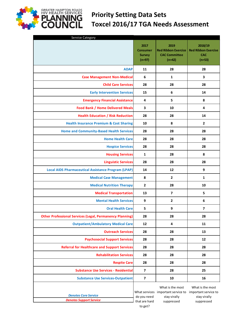

## **Priority Setting Data Sets Toxcel 2016/17 TGA Needs Assessment**

| Service Category                                                |                                                      |                                                                                                           |                                                                 |
|-----------------------------------------------------------------|------------------------------------------------------|-----------------------------------------------------------------------------------------------------------|-----------------------------------------------------------------|
|                                                                 | 2017<br><b>Consumer</b><br><b>Survey</b><br>$(n=97)$ | 2019<br><b>Red Ribbon Exercice</b><br><b>CAC Committee</b><br>$(n=42)$                                    | 2018/19<br><b>Red Ribbon Exercise</b><br><b>CAC</b><br>$(n=53)$ |
| <b>ADAP</b>                                                     | 11                                                   | 28                                                                                                        | 28                                                              |
| <b>Case Management Non-Medical</b>                              | 6                                                    | 1                                                                                                         | 3                                                               |
| <b>Child Care Services</b>                                      | 28                                                   | 28                                                                                                        | 28                                                              |
| <b>Early Intervention Services</b>                              | 15                                                   | 6                                                                                                         | 14                                                              |
| <b>Emergency Financial Assistance</b>                           | $\overline{4}$                                       | 5                                                                                                         | 8                                                               |
| <b>Food Bank / Home Delivered Meals</b>                         | 3                                                    | 10                                                                                                        | 4                                                               |
| <b>Health Education / Risk Reduction</b>                        | 28                                                   | 28                                                                                                        | 14                                                              |
| <b>Health Insurance Premium &amp; Cost Sharing</b>              | 10                                                   | 8                                                                                                         | $\mathbf{2}$                                                    |
| <b>Home and Community-Based Health Services</b>                 | 28                                                   | 28                                                                                                        | 28                                                              |
| <b>Home Health Care</b>                                         | 28                                                   | 28                                                                                                        | 28                                                              |
| <b>Hospice Services</b>                                         | 28                                                   | 28                                                                                                        | 28                                                              |
| <b>Housing Services</b>                                         | $\mathbf{1}$                                         | 28                                                                                                        | 8                                                               |
| <b>Linguistic Services</b>                                      | 28                                                   | 28                                                                                                        | 28                                                              |
| <b>Local AIDS Pharmaceutical Assistance Program (LPAP)</b>      | 14                                                   | 12                                                                                                        | 9                                                               |
| <b>Medical Case Management</b>                                  | 8                                                    | $\overline{2}$                                                                                            | 1                                                               |
| <b>Medical Nutrition Therapy</b>                                | $\overline{2}$                                       | 28                                                                                                        | 10                                                              |
| <b>Medical Transportation</b>                                   | 13                                                   | $\overline{7}$                                                                                            | 5                                                               |
| <b>Mental Health Services</b>                                   | 9                                                    | 2                                                                                                         | 6                                                               |
| <b>Oral Health Care</b>                                         | 5                                                    | 9                                                                                                         | 7                                                               |
| <b>Other Professional Services (Legal, Permanency Planning)</b> | 28                                                   | 28                                                                                                        | 28                                                              |
| <b>Outpatient/Ambulatory Medical Care</b>                       | 12                                                   | $\overline{\mathbf{4}}$                                                                                   | 11                                                              |
| <b>Outreach Services</b>                                        | 28                                                   | 28                                                                                                        | 13                                                              |
| <b>Psychosocial Support Services</b>                            | 28                                                   | 28                                                                                                        | 12                                                              |
| <b>Referral for Healthcare and Support Services</b>             | 28                                                   | 28                                                                                                        | 28                                                              |
| <b>Rehabilitation Services</b>                                  | 28                                                   | 28                                                                                                        | 28                                                              |
| <b>Respite Care</b>                                             | 28                                                   | 28                                                                                                        | 28                                                              |
| <b>Substance Use Services - Residential</b>                     | $\overline{7}$                                       | 28                                                                                                        | 25                                                              |
| <b>Substance Use Services-Outpatient</b>                        | $\overline{\mathbf{z}}$                              | 10                                                                                                        | 16                                                              |
| <b>Denotes Core Service</b><br><b>Denotes Support Service</b>   | do you need<br>that are hard                         | What is the most<br>What services important service to important service to<br>stay virally<br>suppressed | What is the most<br>stay virally<br>suppressed                  |
|                                                                 | to get?                                              |                                                                                                           |                                                                 |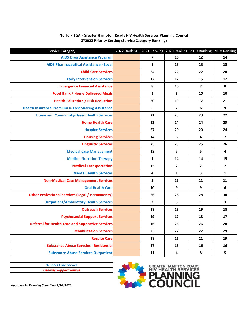| Service Category                                              | 2022 Ranking 2021 Ranking 2020 Ranking 2019 Ranking 2018 Ranking |                         |                         |                         |                         |
|---------------------------------------------------------------|------------------------------------------------------------------|-------------------------|-------------------------|-------------------------|-------------------------|
| <b>AIDS Drug Assistance Program</b>                           |                                                                  | $\overline{\mathbf{z}}$ | 16                      | 12                      | 14                      |
| <b>AIDS Pharmaceutical Assistance - Local</b>                 |                                                                  | 9                       | 13                      | 13                      | 13                      |
| <b>Child Care Services</b>                                    |                                                                  | 24                      | 22                      | 22                      | 20                      |
| <b>Early Intervention Services</b>                            |                                                                  | 12                      | 12                      | 15                      | 12                      |
| <b>Emergency Financial Assistance</b>                         |                                                                  | 8                       | 10                      | $\overline{\mathbf{z}}$ | 8                       |
| <b>Food Bank / Home Delivered Meals</b>                       |                                                                  | $\overline{\mathbf{5}}$ | 8                       | 10                      | 10                      |
| <b>Health Education / Risk Reduction</b>                      |                                                                  | 20                      | 19                      | 17                      | 21                      |
| <b>Health Insurance Premium &amp; Cost Sharing Assistance</b> |                                                                  | 6                       | $\overline{7}$          | 6                       | 9                       |
| <b>Home and Community-Based Health Services</b>               |                                                                  | 21                      | 23                      | 23                      | 22                      |
| <b>Home Health Care</b>                                       |                                                                  | 22                      | 24                      | 24                      | 23                      |
| <b>Hospice Services</b>                                       |                                                                  | 27                      | 20                      | 20                      | 24                      |
| <b>Housing Services</b>                                       |                                                                  | 14                      | 6                       | 4                       | $\overline{\mathbf{z}}$ |
| <b>Linguistic Services</b>                                    |                                                                  | 25                      | 25                      | 25                      | 26                      |
| <b>Medical Case Management</b>                                |                                                                  | 13                      | 5                       | 5                       | 4                       |
| <b>Medical Nutrition Therapy</b>                              |                                                                  | 1                       | 14                      | 14                      | 15                      |
| <b>Medical Transportation</b>                                 |                                                                  | 15                      | $\overline{2}$          | $\overline{2}$          | $\overline{2}$          |
| <b>Mental Health Services</b>                                 |                                                                  | 4                       | $\mathbf{1}$            | $\overline{\mathbf{3}}$ | $\mathbf{1}$            |
| <b>Non-Medical Case Management Services</b>                   |                                                                  | 3                       | 11                      | 11                      | 11                      |
| <b>Oral Health Care</b>                                       |                                                                  | 10                      | 9                       | 9                       | 6                       |
| <b>Other Professional Services (Legal / Permanency)</b>       |                                                                  | 26                      | 28                      | 28                      | 30                      |
| <b>Outpatient/Ambulatory Health Services</b>                  |                                                                  | $\overline{2}$          | $\overline{\mathbf{3}}$ | $\mathbf{1}$            | 3                       |
| <b>Outreach Services</b>                                      |                                                                  | 18                      | 18                      | 19                      | 18                      |
| <b>Psychosocial Support Services</b>                          |                                                                  | 19                      | 17                      | 18                      | 17                      |
| <b>Referral for Health Care and Supportive Services</b>       |                                                                  | 16                      | 26                      | 26                      | 28                      |
| <b>Rehabilitation Services</b>                                |                                                                  | 23                      | 27                      | 27                      | 29                      |
| <b>Respite Care</b>                                           |                                                                  | 28                      | 21                      | 21                      | 19                      |
| <b>Substance Abuse Servcies - Residential</b>                 |                                                                  | 17                      | 15                      | 16                      | 16                      |
| <b>Substance Abuse Services-Outpatient</b>                    |                                                                  | 11                      | 4                       | 8                       | 5                       |
|                                                               |                                                                  |                         |                         |                         |                         |

#### **Norfolk TGA - Greater Hampton Roads HIV Health Services Planning Council GY2022 Priority Setting (Service Category Ranking)**



*Approved by Planning Council on 8/26/2021*

*Denotes Core Service Denotes Support Service*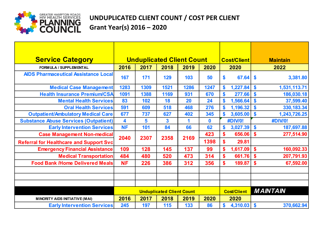

## **UNDUPLICATED CLIENT COUNT / COST PER CLIENT Grant Year(s) 2016 – 2020**

| <b>Service Category</b>                        |                                  | <b>Unduplicated Client Count</b> | <b>Cost/Client</b><br><b>Maintain</b> |      |      |                            |                                 |
|------------------------------------------------|----------------------------------|----------------------------------|---------------------------------------|------|------|----------------------------|---------------------------------|
| FORM ULA / SUPPLEM ENTAL                       | 2016                             | 2017                             | 2018                                  | 2019 | 2020 | 2020                       | 2022                            |
| <b>AIDS Pharmaceutical Assistance Local</b>    | 167                              | 171                              | 129                                   | 103  | 50   | \$<br>67.64                | \$<br>3,381.80                  |
| <b>Medical Case Management</b>                 | 1283                             | 1309                             | 1521                                  | 1286 | 1247 | \$<br>1,227.84             | \$<br>1,531,113.71              |
| <b>Health Insurance Premium/CSA</b>            | 1091                             | 1388                             | 1169                                  | 931  | 670  | 277.66<br>\$               | $\mathbf{\$}$<br>186,030.18     |
| <b>Mental Health Services</b>                  | 83                               | 102                              | 18                                    | 20   | 24   | 1,566.64                   | \$<br>37,599.40                 |
| <b>Oral Health Services</b>                    | 591                              | 609                              | 518                                   | 468  | 276  | 1,196.32                   | $\mathbf{\$}$<br>330, 183.34    |
| <b>Outpatient/Ambulatory Medical Care</b>      | 677                              | 737                              | 627                                   | 402  | 345  | 3,605.00                   | \$<br>1,243,726.25              |
| <b>Substance Abuse Services (Outpatient)</b>   | 4                                | 5                                | 3                                     | 1    | 0    | <b>#DIV/0!</b>             | <b>#DIV/0!</b>                  |
| <b>Early Intervention Services</b>             | <b>NF</b>                        | 101                              | 84                                    | 66   | 62   | 3,027.39<br>\$             | \$<br>187,697.88                |
| <b>Case Management Non-medical</b>             | 2040                             | 2307                             | 2358                                  | 2169 | 423  | \$<br>656.06               | \$<br>277,514.90                |
| <b>Referral for Healthcare and Support Svc</b> |                                  |                                  |                                       |      | 1398 | $\boldsymbol{\$}$<br>29.81 |                                 |
| <b>Emergency Financial Assistance</b>          | 109                              | 128                              | 145                                   | 137  | 99   | \$<br>1,617.09             | \$<br>160,092.33                |
| <b>Medical Transportation</b>                  | 484                              | 480                              | 520                                   | 473  | 314  | 661.76<br>\$               | $\boldsymbol{\$}$<br>207,791.93 |
| <b>Food Bank /Home Delivered Meals</b>         | <b>NF</b>                        | 226                              | 386                                   | 312  | 356  | \$<br>189.87               | \$<br>67,592.00                 |
|                                                |                                  |                                  |                                       |      |      |                            |                                 |
|                                                |                                  |                                  |                                       |      |      |                            |                                 |
|                                                |                                  |                                  |                                       |      |      |                            |                                 |
|                                                | <b>Unduplicated Client Count</b> |                                  |                                       |      |      | <b>Cost/Client</b>         | <b>MAINTAIN</b>                 |
| <b>MINORITY AIDS INITIATIVE (MAI)</b>          | 2016                             | 2017                             | 2018                                  | 2019 | 2020 | 2020                       |                                 |
| <b>Early Intervention Services</b>             | 245                              | 197                              | 115                                   | 133  | 86   | \$<br>4,310.03             | \$<br>370,662.94                |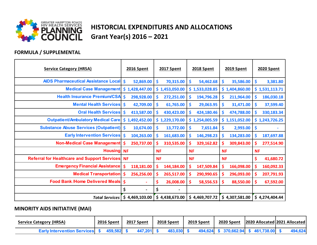

## **HISTORCIAL EXPENDITURES AND ALLOCATIONS Grant Year(s) 2016 – 2021**

#### **FORMULA / SUPPLEMENTAL**

| <b>Service Category (HRSA)</b>                         | <b>2016 Spent</b>                | <b>2017 Spent</b>                 | <b>2018 Spent</b> | <b>2019 Spent</b> | <b>2020 Spent</b> |
|--------------------------------------------------------|----------------------------------|-----------------------------------|-------------------|-------------------|-------------------|
| <b>AIDS Pharmaceutical Assistance Local \$</b>         | 52,869.00                        | \$<br>70,315.00                   | \$<br>54,462.68   | \$<br>35,586.00   | \$<br>3,381.80    |
| <b>Medical Case Management</b>                         | \$1,428,447.00                   | \$1,453,050.00                    | \$1,533,028.85    | \$1,404,860.00    | \$1,531,113.71    |
| <b>Health Insurance Premium/CSA</b>                    | $\dot{\mathsf{s}}$<br>298,928.00 | \$<br>272,251.00                  | \$<br>194,796.28  | \$<br>211,964.00  | \$<br>186,030.18  |
| <b>Mental Health Services</b>                          | $\dot{\mathsf{s}}$<br>42,709.00  | \$<br>61,765.00                   | \$<br>29,063.95   | \$<br>31,471.00   | \$<br>37,599.40   |
| <b>Oral Health Services</b>                            | \$<br>413,587.00                 | \$<br>430,423.00                  | \$<br>424,180.46  | \$<br>474,788.00  | \$<br>330,183.34  |
| <b>Outpatient/Ambulatory Medical Care</b>              | 1,492,452.00<br>\$               | \$1,229,170.00                    | \$1,254,005.59    | \$1,151,052.00    | \$1,243,726.25    |
| <b>Substance Abuse Services (Outpatient) \$</b>        | 10,674.00                        | $\boldsymbol{\zeta}$<br>13,772.00 | \$<br>7,651.84    | \$<br>2,993.00    | \$                |
| <b>Early Intervention Services</b>                     | $\dot{\mathsf{s}}$<br>104,263.00 | \$<br>161,683.00                  | \$<br>146,298.23  | \$<br>134,283.00  | \$<br>187,697.88  |
| <b>Non-Medical Case Management</b>                     | <b>S</b><br>250,737.00           | \$<br>310,535.00                  | \$<br>329,162.82  | \$<br>309,843.00  | \$<br>277,514.90  |
| <b>Housing NF</b>                                      |                                  | <b>NF</b>                         | <b>NF</b>         | <b>NF</b>         | <b>NF</b>         |
| <b>Referral for Healthcare and Support Services NF</b> |                                  | <b>NF</b>                         | <b>NF</b>         | <b>NF</b>         | \$<br>41,680.72   |
| <b>Emergency Financial Assistance</b>                  | \$<br>118,181.00                 | \$<br>144,184.00                  | \$<br>147,509.84  | \$<br>166,098.00  | \$<br>160,092.33  |
| <b>Medical Transportation</b>                          | \$<br>256,256.00                 | \$<br>265,517.00                  | \$<br>290,990.65  | \$<br>296,093.00  | \$<br>207,791.93  |
| <b>Food Bank /Home Delivered Meals</b>                 | -\$<br>$\blacksquare$            | \$<br>26,008.00                   | \$<br>58,556.53   | \$<br>88,550.00   | \$<br>67,592.00   |
|                                                        | \$                               | \$<br>$\blacksquare$              |                   |                   |                   |
| <b>Total Services</b>                                  | \$4,469,103.00                   | \$4,438,673.00                    | \$4,469,707.72    | \$4,307,581.00    | \$4,274,404.44    |

## **MINORITY AIDS INITIATIVE (MAI)**

| <b>Service Category (HRSA)</b>        | <b>2016 Spent</b> |            | 2017 Spent |         | 2018 Spent |         | 2019 Spent |  | 2020 Spent |  |  |                                     | 2020 Allocated   2021 Allocated |         |
|---------------------------------------|-------------------|------------|------------|---------|------------|---------|------------|--|------------|--|--|-------------------------------------|---------------------------------|---------|
| <b>Early Intervention Services</b> \$ |                   | 459,582 \$ |            | 447,201 |            | 483,030 |            |  |            |  |  | 494,624 \$ 370,662.94 \$ 461,738.00 |                                 | 494,624 |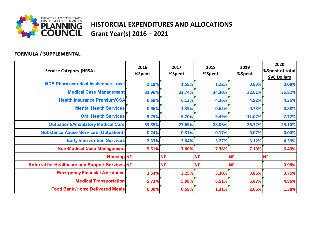

## **HISTORCIAL EXPENDITURES AND ALLOCATIONS Grant Year(s) 2016 – 2021**

## **FORMULA / SUPPLEMENTAL**

| <b>Service Category (HRSA)</b>                  | 2016<br>2017<br>%Spent<br>%Spent |           | 2018<br>%Spent | 2019<br>%Spent | 2020<br>%Spent of total<br><b>SVC Dollars</b> |  |
|-------------------------------------------------|----------------------------------|-----------|----------------|----------------|-----------------------------------------------|--|
| <b>AIDS Pharmaceutical Assistance Local</b>     | 1.18%                            | 1.58%     | 1.22%          | 0.83%          | 0.08%                                         |  |
| <b>Medical Case Management</b>                  | 31.96%                           | 32.74%    | 34.30%         | 32.61%         | 35.82%                                        |  |
| <b>Health Insurance Premium/CSA</b>             | 6.69%                            | 6.13%     | 4.36%          | 4.92%          | 4.35%                                         |  |
| <b>Mental Health Services</b>                   | 0.96%                            | 1.39%     | 0.65%          | 0.73%          | 0.88%                                         |  |
| <b>Oral Health Services</b>                     | 9.25%                            | 9.70%     | 9.49%          | 11.02%         | 7.72%                                         |  |
| <b>Outpatient/Ambulatory Medical Care</b>       | 33.39%                           | 27.69%    | 28.06%         | 26.72%         | 29.10%                                        |  |
| <b>Substance Abuse Services (Outpatient)</b>    | 0.24%                            | 0.31%     | 0.17%          | 0.07%          | 0.00%                                         |  |
| <b>Early Intervention Services</b>              | 2.33%                            | 3.64%     | 3.27%          | 3.12%          | 4.39%                                         |  |
| <b>Non-Medical Case Management</b>              | 5.61%                            | 7.00%     | 7.36%          | 7.19%          | 6.49%                                         |  |
| <b>Housing NF</b>                               |                                  | <b>NF</b> | <b>NF</b>      | <b>NF</b>      | <b>NF</b>                                     |  |
| Referral for Healthcare and Support Services NF |                                  | <b>NF</b> | <b>NF</b>      | <b>NF</b>      | 0.98%                                         |  |
| <b>Emergency Financial Assistance</b>           | 2.64%                            | 3.25%     | 3.30%          | 3.86%          | 3.75%                                         |  |
| <b>Medical Transportation</b>                   | 5.73%                            | 5.98%     | 6.51%          | 6.87%          | 4.86%                                         |  |
| <b>Food Bank /Home Delivered Meals</b>          | 0.00%                            | 0.59%     | 1.31%          | 2.06%          | 1.58%                                         |  |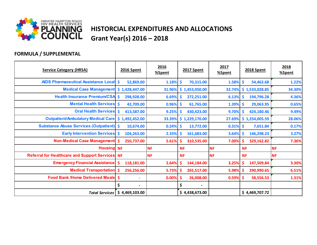

## **HISTORCIAL EXPENDITURES AND ALLOCATIONS Grant Year(s) 2016 – 2018**

## **FORMULA / SUPPLEMENTAL**

| <b>Service Category (HRSA)</b>                         | <b>2016 Spent</b>        | 2016<br>%Spent | 2017 Spent       | 2017<br>%Spent | <b>2018 Spent</b>             | 2018<br>%Spent |
|--------------------------------------------------------|--------------------------|----------------|------------------|----------------|-------------------------------|----------------|
| <b>AIDS Pharmaceutical Assistance Local \$</b>         | 52,869.00                | 1.18%          | \$<br>70,315.00  | 1.58%          | $\mathsf{S}$<br>54,462.68     | 1.22%          |
| <b>Medical Case Management</b>                         | \$1,428,447.00           | 31.96%         | \$1,453,050.00   | 32.74%         | \$1,533,028.85                | 34.30%         |
| Health Insurance Premium/CSA \$                        | 298,928.00               | 6.69%          | \$<br>272,251.00 | 6.13%          | 194,796.28<br>-S              | 4.36%          |
| <b>Mental Health Services \$</b>                       | 42,709.00                | 0.96%          | \$<br>61,765.00  | $1.39\%$ \$    | 29,063.95                     | 0.65%          |
| <b>Oral Health Services \$</b>                         | 413,587.00               | 9.25%          | \$<br>430,423.00 | 9.70%          | 424,180.46<br>-\$             | 9.49%          |
| <b>Outpatient/Ambulatory Medical Care</b>              | \$1,492,452.00           | 33.39%         | \$1,229,170.00   | 27.69%         | \$1,254,005.59                | 28.06%         |
| <b>Substance Abuse Services (Outpatient) \$</b>        | 10,674.00                | 0.24%          | \$<br>13,772.00  | $0.31\%$ \$    | 7,651.84                      | 0.17%          |
| <b>Early Intervention Services \$</b>                  | 104,263.00               | 2.33%          | \$<br>161,683.00 | 3.64%          | 146,298.23<br>$\ddot{\bm{s}}$ | 3.27%          |
| <b>Non-Medical Case Management \$</b>                  | 250,737.00               | 5.61%          | \$<br>310,535.00 | 7.00%          | 329,162.82<br>-\$             | 7.36%          |
| <b>Housing</b> NF                                      |                          | <b>NF</b>      | <b>NF</b>        | <b>NF</b>      | <b>NF</b>                     | <b>NF</b>      |
| <b>Referral for Healthcare and Support Services NF</b> |                          | <b>NF</b>      | <b>NF</b>        | <b>NF</b>      | <b>NF</b>                     | <b>NF</b>      |
| <b>Emergency Financial Assistance</b>                  | 118,181.00<br>s          | 2.64%          | \$<br>144,184.00 | 3.25%          | \$<br>147,509.84              | 3.30%          |
| <b>Medical Transportation \$</b>                       | 256,256.00               | 5.73%          | -S<br>265,517.00 | 5.98%          | 290,990.65<br>-\$             | 6.51%          |
| <b>Food Bank /Home Delivered Meals   \$</b>            | $\blacksquare$           | 0.00%          | \$<br>26,008.00  | $0.59%$ \$     | 58,556.53                     | 1.31%          |
|                                                        | $\overline{\phantom{a}}$ |                | Ś                |                |                               |                |
| <b>Total Services</b>                                  | \$4,469,103.00           |                | \$4,438,673.00   |                | \$4,469,707.72                |                |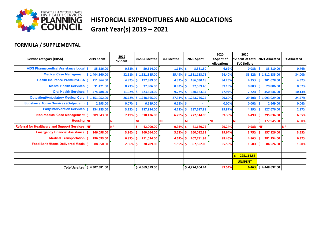

## **HISTORCIAL EXPENDITURES AND ALLOCATIONS Grant Year(s) 2019 – 2021**

## **FORMULA / SUPPLEMENTAL**

| <b>Service Category (HRSA)</b>                     |                | 2019 Spent | 2019<br>%Spent |           | 2020 Allocated | %Allocated |           | <b>2020 Spent</b> | 2020<br>%Spent of<br><b>Allocations</b> | 2020<br>%Spent of total   2021 Allocated<br><b>SVC Dollars</b> |                | %Allocated |
|----------------------------------------------------|----------------|------------|----------------|-----------|----------------|------------|-----------|-------------------|-----------------------------------------|----------------------------------------------------------------|----------------|------------|
| <b>AIDS Pharmaceutical Assistance Local S</b>      |                | 35,586.00  | 0.83%          |           | 50,514.00      | 1.11%      | \$        | 3,381.80          | 6.69%                                   | 0.08%                                                          | 33,810.00      | 0.76%      |
| <b>Medical Case Management</b>                     | \$1,404,860.00 |            | 32.61%         |           | \$1,621,885.00 | 35.49%     |           | \$1,531,113.71    | 94.40%                                  | 35.82%                                                         | \$1,512,535.00 | 34.00%     |
| Health Insurance Premium/CSA \$                    |                | 211,964.00 | 4.92%          | s         | 197,389.00     | 4.32%      | S.        | 186,030.18        | 94.25%                                  | 4.35%                                                          | 201,078.00     | 4.52%      |
| <b>Mental Health Services \$</b>                   |                | 31,471.00  | 0.73%          |           | 37,906.00      | 0.83%      |           | 37,599.40         | 99.19%                                  | 0.88%                                                          | 29,806.00      | 0.67%      |
| <b>Oral Health Services \$</b>                     |                | 474,788.00 | 11.02%         |           | 423,654.00     | 9.27%      |           | 330,183.34        | 77.94%                                  | 7.72%                                                          | 450,646.00     | 10.13%     |
| Outpatient/Ambulatory Medical Care \$ 1,151,052.00 |                |            | 26.729         |           | \$1,248,665.00 | 27.33%     |           | \$1,243,726.25    | 99.60%                                  | 29.10%                                                         | \$1,093,029.00 | 24.57%     |
| <b>Substance Abuse Services (Outpatient) \$</b>    |                | 2,993.00   | 0.07%          |           | 6,689.00       | 0.15%      | -Ś        | ٠                 | 0.00%                                   | 0.00%                                                          | 2,669.00       | 0.06%      |
| <b>Early Intervention Services S</b>               |                | 134,283.00 | 3.12%          |           | 187,934.00     | 4.11%      | S.        | 187,697.88        | 99.87%                                  | 4.39%                                                          | 127,676.00     | 2.87%      |
| Non-Medical Case Management \$                     |                | 309,843.00 | 7.19%          |           | 310,476.00     | 6.79%      |           | 277,514.90        | 89.38%                                  | 6.49%                                                          | 295,834.00     | 6.65%      |
| <b>Housing NF</b>                                  |                |            | <b>NF</b>      | <b>NF</b> |                | <b>NF</b>  | <b>NF</b> |                   | <b>NF</b>                               | <b>NF</b>                                                      | 177,945.00     | 4.00%      |
| Referral for Healthcare and Support Services NF    |                |            | <b>NF</b>      |           | 42,000.00      | 0.92%      |           | 41,680.72         | 99.24%                                  | 0.98% NF                                                       |                | <b>NF</b>  |
| <b>Emergency Financial Assistance \$</b>           |                | 166,098.00 | 3.86%          |           | 160,664.00     | 3.52%      |           | 160,092.33        | 99.64%                                  | 3.75%                                                          | 157,926.00     | 3.55%      |
| <b>Medical Transportation \$</b>                   |                | 296,093.00 | 6.87%          |           | 211,034.00     | 4.62%      |           | 207,791.93        | 98.46%                                  | 4.86%                                                          | 281,154.00     | 6.32%      |
| <b>Food Bank /Home Delivered Meals 5</b>           |                | 88,550.00  | 2.06%          |           | 70,709.00      | 1.55%      |           | 67,592.00         | 95.59%                                  | 1.58%                                                          | 84,524.00      | 1.90%      |
|                                                    |                |            |                |           |                |            |           |                   |                                         |                                                                |                |            |
|                                                    |                |            |                |           |                |            |           |                   |                                         | Ś<br>295,114.56                                                |                |            |
|                                                    |                |            |                |           |                |            |           |                   |                                         | <b>UNSPENT</b>                                                 |                |            |
| Total Services $\vert$ \$ 4,307,581.00             |                |            |                |           | \$4,569,519.00 |            |           | \$4,274,404.44    | 93.54%                                  | 6.46%                                                          | \$4,448,632.00 |            |